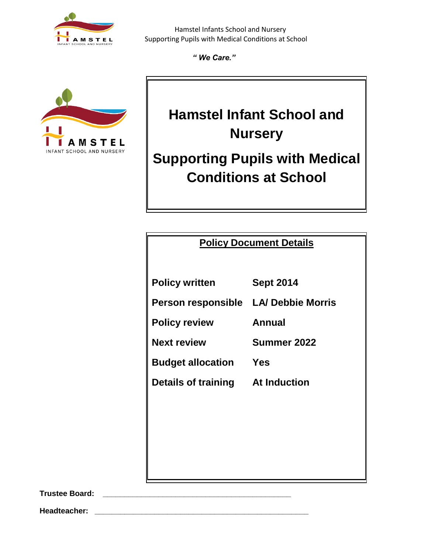

*" We Care."*



# **Hamstel Infant School and Nursery**

# **Supporting Pupils with Medical Conditions at School**

## **Policy Document Details**

**Policy written Sept 2014 Person responsible LA/ Debbie Morris Policy review Annual Next review Summer 2022**

**Budget allocation Yes**

**Details of training At Induction**

**Trustee Board: \_\_\_\_\_\_\_\_\_\_\_\_\_\_\_\_\_\_\_\_\_\_\_\_\_\_\_\_\_\_\_\_\_\_\_\_\_\_\_\_\_\_\_\_**

**Headteacher: \_\_\_\_\_\_\_\_\_\_\_\_\_\_\_\_\_\_\_\_\_\_\_\_\_\_\_\_\_\_\_\_\_\_\_\_\_\_\_\_\_\_\_\_\_\_\_\_\_\_**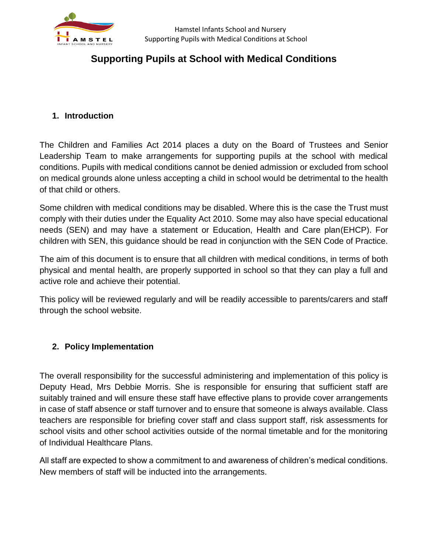

# **Supporting Pupils at School with Medical Conditions**

#### **1. Introduction**

The Children and Families Act 2014 places a duty on the Board of Trustees and Senior Leadership Team to make arrangements for supporting pupils at the school with medical conditions. Pupils with medical conditions cannot be denied admission or excluded from school on medical grounds alone unless accepting a child in school would be detrimental to the health of that child or others.

Some children with medical conditions may be disabled. Where this is the case the Trust must comply with their duties under the Equality Act 2010. Some may also have special educational needs (SEN) and may have a statement or Education, Health and Care plan(EHCP). For children with SEN, this guidance should be read in conjunction with the SEN Code of Practice.

The aim of this document is to ensure that all children with medical conditions, in terms of both physical and mental health, are properly supported in school so that they can play a full and active role and achieve their potential.

This policy will be reviewed regularly and will be readily accessible to parents/carers and staff through the school website.

#### **2. Policy Implementation**

The overall responsibility for the successful administering and implementation of this policy is Deputy Head, Mrs Debbie Morris. She is responsible for ensuring that sufficient staff are suitably trained and will ensure these staff have effective plans to provide cover arrangements in case of staff absence or staff turnover and to ensure that someone is always available. Class teachers are responsible for briefing cover staff and class support staff, risk assessments for school visits and other school activities outside of the normal timetable and for the monitoring of Individual Healthcare Plans.

All staff are expected to show a commitment to and awareness of children's medical conditions. New members of staff will be inducted into the arrangements.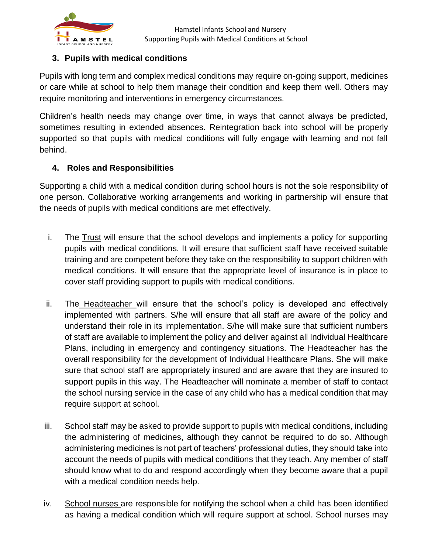

#### **3. Pupils with medical conditions**

Pupils with long term and complex medical conditions may require on-going support, medicines or care while at school to help them manage their condition and keep them well. Others may require monitoring and interventions in emergency circumstances.

Children's health needs may change over time, in ways that cannot always be predicted, sometimes resulting in extended absences. Reintegration back into school will be properly supported so that pupils with medical conditions will fully engage with learning and not fall behind.

#### **4. Roles and Responsibilities**

Supporting a child with a medical condition during school hours is not the sole responsibility of one person. Collaborative working arrangements and working in partnership will ensure that the needs of pupils with medical conditions are met effectively.

- i. The Trust will ensure that the school develops and implements a policy for supporting pupils with medical conditions. It will ensure that sufficient staff have received suitable training and are competent before they take on the responsibility to support children with medical conditions. It will ensure that the appropriate level of insurance is in place to cover staff providing support to pupils with medical conditions.
- ii. The Headteacher will ensure that the school's policy is developed and effectively implemented with partners. S/he will ensure that all staff are aware of the policy and understand their role in its implementation. S/he will make sure that sufficient numbers of staff are available to implement the policy and deliver against all Individual Healthcare Plans, including in emergency and contingency situations. The Headteacher has the overall responsibility for the development of Individual Healthcare Plans. She will make sure that school staff are appropriately insured and are aware that they are insured to support pupils in this way. The Headteacher will nominate a member of staff to contact the school nursing service in the case of any child who has a medical condition that may require support at school.
- iii. School staff may be asked to provide support to pupils with medical conditions, including the administering of medicines, although they cannot be required to do so. Although administering medicines is not part of teachers' professional duties, they should take into account the needs of pupils with medical conditions that they teach. Any member of staff should know what to do and respond accordingly when they become aware that a pupil with a medical condition needs help.
- iv. School nurses are responsible for notifying the school when a child has been identified as having a medical condition which will require support at school. School nurses may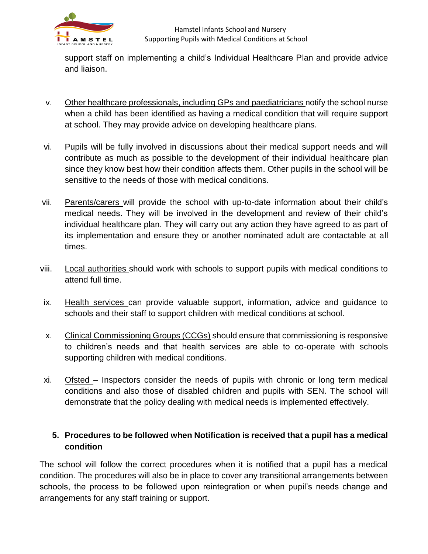

support staff on implementing a child's Individual Healthcare Plan and provide advice and liaison.

- v. Other healthcare professionals, including GPs and paediatricians notify the school nurse when a child has been identified as having a medical condition that will require support at school. They may provide advice on developing healthcare plans.
- vi. Pupils will be fully involved in discussions about their medical support needs and will contribute as much as possible to the development of their individual healthcare plan since they know best how their condition affects them. Other pupils in the school will be sensitive to the needs of those with medical conditions.
- vii. Parents/carers will provide the school with up-to-date information about their child's medical needs. They will be involved in the development and review of their child's individual healthcare plan. They will carry out any action they have agreed to as part of its implementation and ensure they or another nominated adult are contactable at all times.
- viii. Local authorities should work with schools to support pupils with medical conditions to attend full time.
- ix. Health services can provide valuable support, information, advice and guidance to schools and their staff to support children with medical conditions at school.
- x. Clinical Commissioning Groups (CCGs) should ensure that commissioning is responsive to children's needs and that health services are able to co-operate with schools supporting children with medical conditions.
- xi. Ofsted Inspectors consider the needs of pupils with chronic or long term medical conditions and also those of disabled children and pupils with SEN. The school will demonstrate that the policy dealing with medical needs is implemented effectively.

#### **5. Procedures to be followed when Notification is received that a pupil has a medical condition**

The school will follow the correct procedures when it is notified that a pupil has a medical condition. The procedures will also be in place to cover any transitional arrangements between schools, the process to be followed upon reintegration or when pupil's needs change and arrangements for any staff training or support.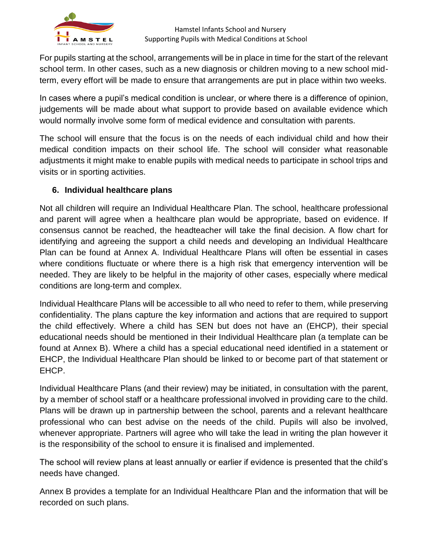

For pupils starting at the school, arrangements will be in place in time for the start of the relevant school term. In other cases, such as a new diagnosis or children moving to a new school midterm, every effort will be made to ensure that arrangements are put in place within two weeks.

In cases where a pupil's medical condition is unclear, or where there is a difference of opinion, judgements will be made about what support to provide based on available evidence which would normally involve some form of medical evidence and consultation with parents.

The school will ensure that the focus is on the needs of each individual child and how their medical condition impacts on their school life. The school will consider what reasonable adjustments it might make to enable pupils with medical needs to participate in school trips and visits or in sporting activities.

#### **6. Individual healthcare plans**

Not all children will require an Individual Healthcare Plan. The school, healthcare professional and parent will agree when a healthcare plan would be appropriate, based on evidence. If consensus cannot be reached, the headteacher will take the final decision. A flow chart for identifying and agreeing the support a child needs and developing an Individual Healthcare Plan can be found at Annex A. Individual Healthcare Plans will often be essential in cases where conditions fluctuate or where there is a high risk that emergency intervention will be needed. They are likely to be helpful in the majority of other cases, especially where medical conditions are long-term and complex.

Individual Healthcare Plans will be accessible to all who need to refer to them, while preserving confidentiality. The plans capture the key information and actions that are required to support the child effectively. Where a child has SEN but does not have an (EHCP), their special educational needs should be mentioned in their Individual Healthcare plan (a template can be found at Annex B). Where a child has a special educational need identified in a statement or EHCP, the Individual Healthcare Plan should be linked to or become part of that statement or EHCP.

Individual Healthcare Plans (and their review) may be initiated, in consultation with the parent, by a member of school staff or a healthcare professional involved in providing care to the child. Plans will be drawn up in partnership between the school, parents and a relevant healthcare professional who can best advise on the needs of the child. Pupils will also be involved, whenever appropriate. Partners will agree who will take the lead in writing the plan however it is the responsibility of the school to ensure it is finalised and implemented.

The school will review plans at least annually or earlier if evidence is presented that the child's needs have changed.

Annex B provides a template for an Individual Healthcare Plan and the information that will be recorded on such plans.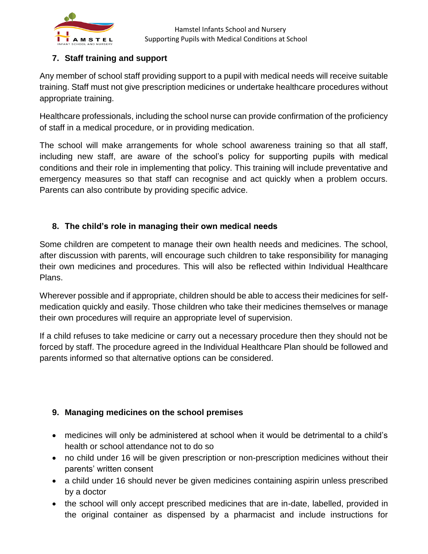

#### **7. Staff training and support**

Any member of school staff providing support to a pupil with medical needs will receive suitable training. Staff must not give prescription medicines or undertake healthcare procedures without appropriate training.

Healthcare professionals, including the school nurse can provide confirmation of the proficiency of staff in a medical procedure, or in providing medication.

The school will make arrangements for whole school awareness training so that all staff, including new staff, are aware of the school's policy for supporting pupils with medical conditions and their role in implementing that policy. This training will include preventative and emergency measures so that staff can recognise and act quickly when a problem occurs. Parents can also contribute by providing specific advice.

### **8. The child's role in managing their own medical needs**

Some children are competent to manage their own health needs and medicines. The school, after discussion with parents, will encourage such children to take responsibility for managing their own medicines and procedures. This will also be reflected within Individual Healthcare Plans.

Wherever possible and if appropriate, children should be able to access their medicines for selfmedication quickly and easily. Those children who take their medicines themselves or manage their own procedures will require an appropriate level of supervision.

If a child refuses to take medicine or carry out a necessary procedure then they should not be forced by staff. The procedure agreed in the Individual Healthcare Plan should be followed and parents informed so that alternative options can be considered.

## **9. Managing medicines on the school premises**

- medicines will only be administered at school when it would be detrimental to a child's health or school attendance not to do so
- no child under 16 will be given prescription or non-prescription medicines without their parents' written consent
- a child under 16 should never be given medicines containing aspirin unless prescribed by a doctor
- the school will only accept prescribed medicines that are in-date, labelled, provided in the original container as dispensed by a pharmacist and include instructions for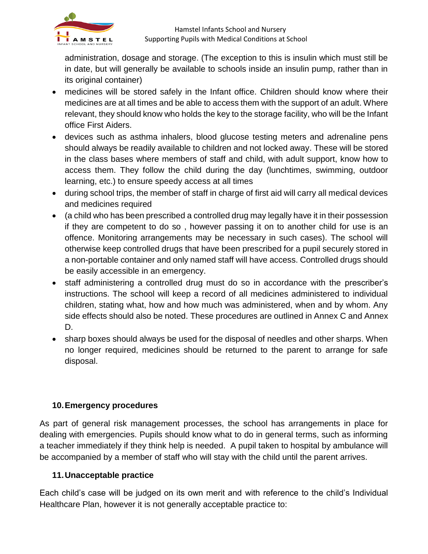

administration, dosage and storage. (The exception to this is insulin which must still be in date, but will generally be available to schools inside an insulin pump, rather than in its original container)

- medicines will be stored safely in the Infant office. Children should know where their medicines are at all times and be able to access them with the support of an adult. Where relevant, they should know who holds the key to the storage facility, who will be the Infant office First Aiders.
- devices such as asthma inhalers, blood glucose testing meters and adrenaline pens should always be readily available to children and not locked away. These will be stored in the class bases where members of staff and child, with adult support, know how to access them. They follow the child during the day (lunchtimes, swimming, outdoor learning, etc.) to ensure speedy access at all times
- during school trips, the member of staff in charge of first aid will carry all medical devices and medicines required
- (a child who has been prescribed a controlled drug may legally have it in their possession if they are competent to do so , however passing it on to another child for use is an offence. Monitoring arrangements may be necessary in such cases). The school will otherwise keep controlled drugs that have been prescribed for a pupil securely stored in a non-portable container and only named staff will have access. Controlled drugs should be easily accessible in an emergency.
- staff administering a controlled drug must do so in accordance with the prescriber's instructions. The school will keep a record of all medicines administered to individual children, stating what, how and how much was administered, when and by whom. Any side effects should also be noted. These procedures are outlined in Annex C and Annex D.
- sharp boxes should always be used for the disposal of needles and other sharps. When no longer required, medicines should be returned to the parent to arrange for safe disposal.

#### **10.Emergency procedures**

As part of general risk management processes, the school has arrangements in place for dealing with emergencies. Pupils should know what to do in general terms, such as informing a teacher immediately if they think help is needed. A pupil taken to hospital by ambulance will be accompanied by a member of staff who will stay with the child until the parent arrives.

#### **11.Unacceptable practice**

Each child's case will be judged on its own merit and with reference to the child's Individual Healthcare Plan, however it is not generally acceptable practice to: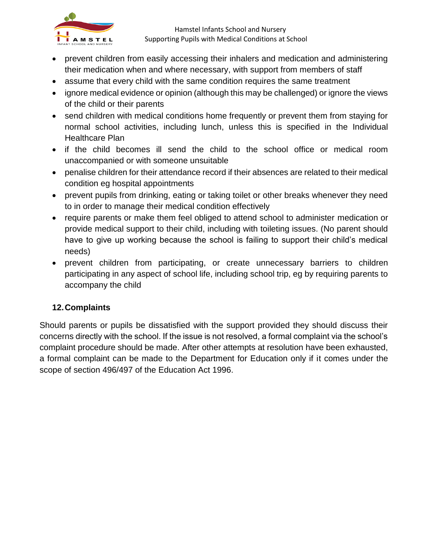

- prevent children from easily accessing their inhalers and medication and administering their medication when and where necessary, with support from members of staff
- assume that every child with the same condition requires the same treatment
- ignore medical evidence or opinion (although this may be challenged) or ignore the views of the child or their parents
- send children with medical conditions home frequently or prevent them from staying for normal school activities, including lunch, unless this is specified in the Individual Healthcare Plan
- if the child becomes ill send the child to the school office or medical room unaccompanied or with someone unsuitable
- penalise children for their attendance record if their absences are related to their medical condition eg hospital appointments
- prevent pupils from drinking, eating or taking toilet or other breaks whenever they need to in order to manage their medical condition effectively
- require parents or make them feel obliged to attend school to administer medication or provide medical support to their child, including with toileting issues. (No parent should have to give up working because the school is failing to support their child's medical needs)
- prevent children from participating, or create unnecessary barriers to children participating in any aspect of school life, including school trip, eg by requiring parents to accompany the child

#### **12.Complaints**

Should parents or pupils be dissatisfied with the support provided they should discuss their concerns directly with the school. If the issue is not resolved, a formal complaint via the school's complaint procedure should be made. After other attempts at resolution have been exhausted, a formal complaint can be made to the Department for Education only if it comes under the scope of section 496/497 of the Education Act 1996.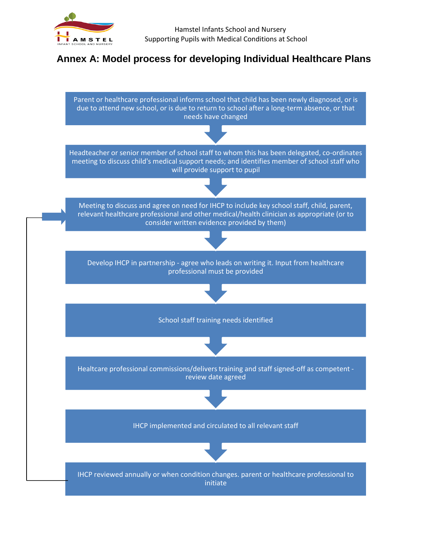

# **Annex A: Model process for developing Individual Healthcare Plans**

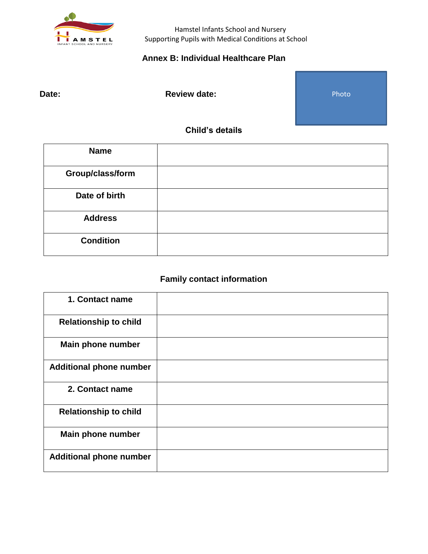

#### **Annex B: Individual Healthcare Plan**

Date: **Date: Review date:** 

Photo

#### **Child's details**

| <b>Name</b>      |  |
|------------------|--|
| Group/class/form |  |
| Date of birth    |  |
| <b>Address</b>   |  |
| <b>Condition</b> |  |

# **Family contact information**

| 1. Contact name                |  |
|--------------------------------|--|
| <b>Relationship to child</b>   |  |
| Main phone number              |  |
| <b>Additional phone number</b> |  |
| 2. Contact name                |  |
| <b>Relationship to child</b>   |  |
| Main phone number              |  |
| <b>Additional phone number</b> |  |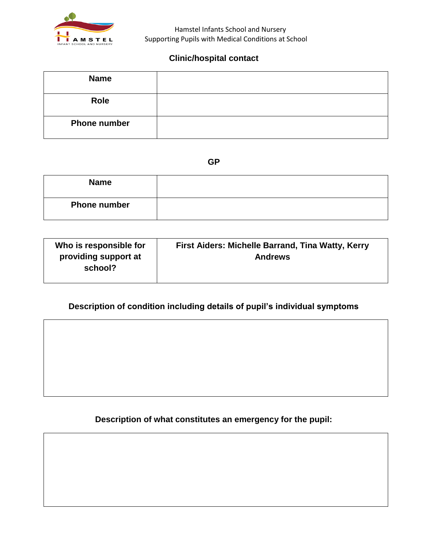

#### **Clinic/hospital contact**

| <b>Name</b>         |  |
|---------------------|--|
| Role                |  |
| <b>Phone number</b> |  |

**GP**

| <b>Name</b>         |  |
|---------------------|--|
| <b>Phone number</b> |  |

| Who is responsible for          | First Aiders: Michelle Barrand, Tina Watty, Kerry |
|---------------------------------|---------------------------------------------------|
| providing support at<br>school? | <b>Andrews</b>                                    |

## **Description of condition including details of pupil's individual symptoms**

**Description of what constitutes an emergency for the pupil:**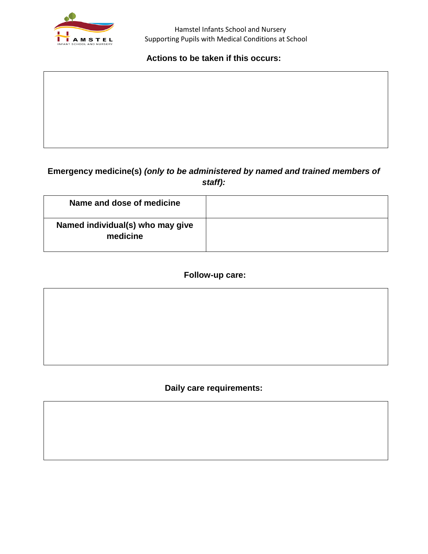

#### **Actions to be taken if this occurs:**

## **Emergency medicine(s)** *(only to be administered by named and trained members of staff):*

| Name and dose of medicine                    |  |
|----------------------------------------------|--|
| Named individual(s) who may give<br>medicine |  |

#### **Follow-up care:**

**Daily care requirements:**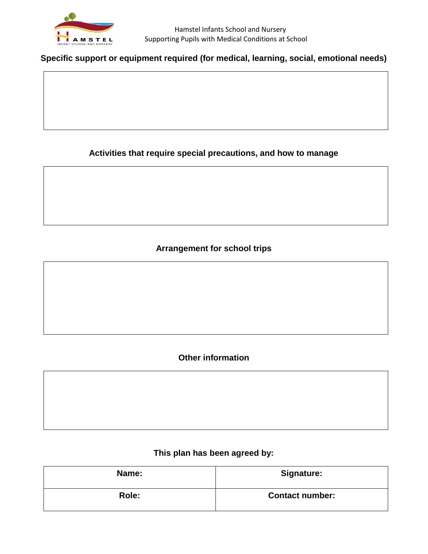

#### **Specific support or equipment required (for medical, learning, social, emotional needs)**

#### **Activities that require special precautions, and how to manage**

## **Arrangement for school trips**

#### **Other information**

#### **This plan has been agreed by:**

| Name: | <b>Signature:</b>      |  |  |
|-------|------------------------|--|--|
| Role: | <b>Contact number:</b> |  |  |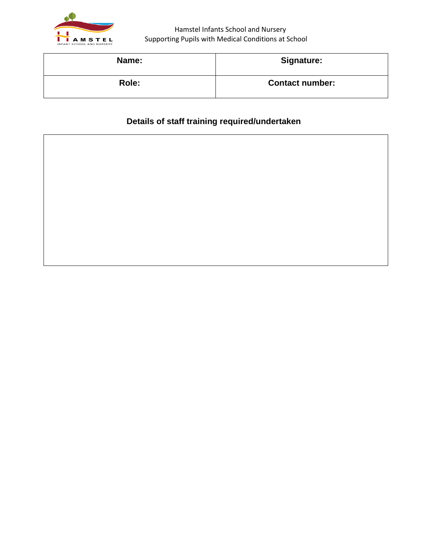

| Name: | <b>Signature:</b>      |  |  |
|-------|------------------------|--|--|
| Role: | <b>Contact number:</b> |  |  |

# **Details of staff training required/undertaken**

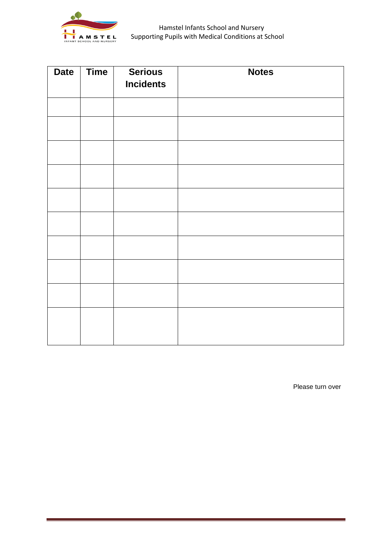

| <b>Date</b> | <b>Time</b> | <b>Serious</b><br><b>Incidents</b> | <b>Notes</b> |
|-------------|-------------|------------------------------------|--------------|
|             |             |                                    |              |
|             |             |                                    |              |
|             |             |                                    |              |
|             |             |                                    |              |
|             |             |                                    |              |
|             |             |                                    |              |
|             |             |                                    |              |
|             |             |                                    |              |
|             |             |                                    |              |
|             |             |                                    |              |
|             |             |                                    |              |

Please turn over

a sa kacamatan ing Kabupatèn Kabupatèn Ing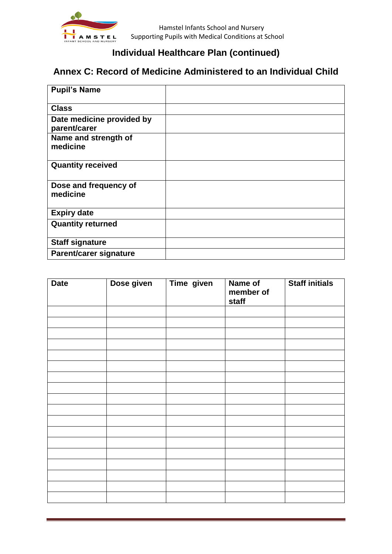

# **Individual Healthcare Plan (continued)**

# **Annex C: Record of Medicine Administered to an Individual Child**

| <b>Pupil's Name</b>                       |  |
|-------------------------------------------|--|
| <b>Class</b>                              |  |
| Date medicine provided by<br>parent/carer |  |
| Name and strength of<br>medicine          |  |
| <b>Quantity received</b>                  |  |
| Dose and frequency of<br>medicine         |  |
| <b>Expiry date</b>                        |  |
| <b>Quantity returned</b>                  |  |
| <b>Staff signature</b>                    |  |
| <b>Parent/carer signature</b>             |  |

| <b>Date</b> | Dose given | Time given | Name of<br>member of<br>staff | <b>Staff initials</b> |
|-------------|------------|------------|-------------------------------|-----------------------|
|             |            |            |                               |                       |
|             |            |            |                               |                       |
|             |            |            |                               |                       |
|             |            |            |                               |                       |
|             |            |            |                               |                       |
|             |            |            |                               |                       |
|             |            |            |                               |                       |
|             |            |            |                               |                       |
|             |            |            |                               |                       |
|             |            |            |                               |                       |
|             |            |            |                               |                       |
|             |            |            |                               |                       |
|             |            |            |                               |                       |
|             |            |            |                               |                       |
|             |            |            |                               |                       |
|             |            |            |                               |                       |
|             |            |            |                               |                       |
|             |            |            |                               |                       |